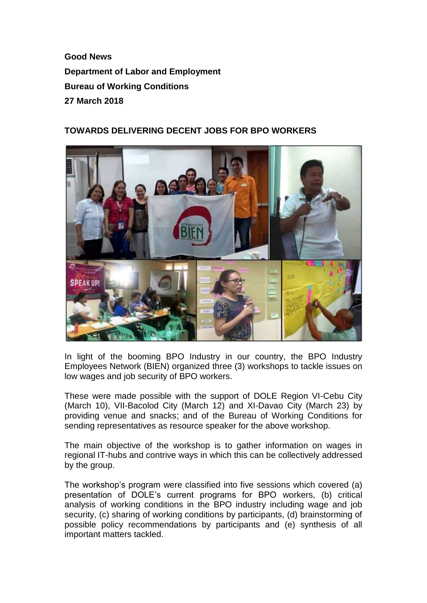**Good News Department of Labor and Employment Bureau of Working Conditions 27 March 2018**

## **TOWARDS DELIVERING DECENT JOBS FOR BPO WORKERS**



In light of the booming BPO Industry in our country, the BPO Industry Employees Network (BIEN) organized three (3) workshops to tackle issues on low wages and job security of BPO workers.

These were made possible with the support of DOLE Region VI-Cebu City (March 10), VII-Bacolod City (March 12) and XI-Davao City (March 23) by providing venue and snacks; and of the Bureau of Working Conditions for sending representatives as resource speaker for the above workshop.

The main objective of the workshop is to gather information on wages in regional IT-hubs and contrive ways in which this can be collectively addressed by the group.

The workshop's program were classified into five sessions which covered (a) presentation of DOLE's current programs for BPO workers, (b) critical analysis of working conditions in the BPO industry including wage and job security, (c) sharing of working conditions by participants, (d) brainstorming of possible policy recommendations by participants and (e) synthesis of all important matters tackled.